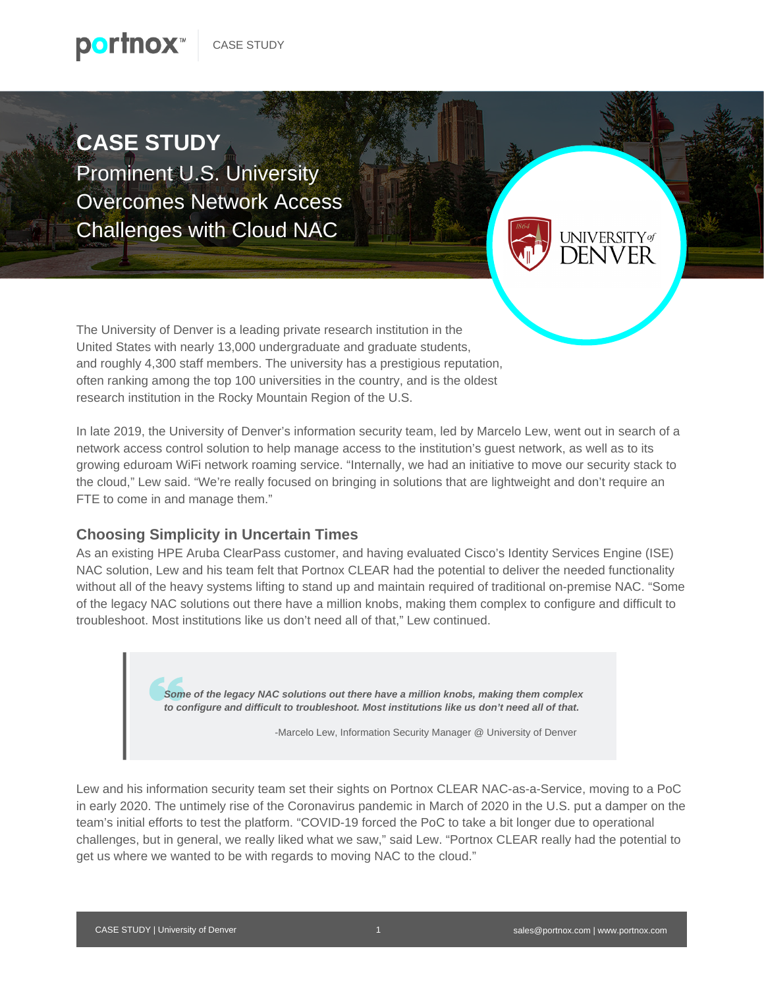**CASE STUDY** Prominent U.S. University Overcomes Network Access Challenges with Cloud NAC

The University of Denver is a leading private research institution in the United States with nearly 13,000 undergraduate and graduate students, and roughly 4,300 staff members. The university has a prestigious reputation, often ranking among the top 100 universities in the country, and is the oldest research institution in the Rocky Mountain Region of the U.S.

In late 2019, the University of Denver's information security team, led by Marcelo Lew, went out in search of a network access control solution to help manage access to the institution's guest network, as well as to its growing eduroam WiFi network roaming service. "Internally, we had an initiative to move our security stack to the cloud," Lew said. "We're really focused on bringing in solutions that are lightweight and don't require an FTE to come in and manage them."

## **Choosing Simplicity in Uncertain Times**

As an existing HPE Aruba ClearPass customer, and having evaluated Cisco's Identity Services Engine (ISE) NAC solution, Lew and his team felt that Portnox CLEAR had the potential to deliver the needed functionality without all of the heavy systems lifting to stand up and maintain required of traditional on-premise NAC. "Some of the legacy NAC solutions out there have a million knobs, making them complex to configure and difficult to troubleshoot. Most institutions like us don't need all of that," Lew continued.

> *Some of the legacy NAC solutions out there have a million knobs, making them complex to configure and difficult to troubleshoot. Most institutions like us don't need all of that.*

> > -Marcelo Lew, Information Security Manager @ University of Denver

Lew and his information security team set their sights on Portnox CLEAR NAC-as-a-Service, moving to a PoC in early 2020. The untimely rise of the Coronavirus pandemic in March of 2020 in the U.S. put a damper on the team's initial efforts to test the platform. "COVID-19 forced the PoC to take a bit longer due to operational challenges, but in general, we really liked what we saw," said Lew. "Portnox CLEAR really had the potential to get us where we wanted to be with regards to moving NAC to the cloud."

**UNIVERSIT**